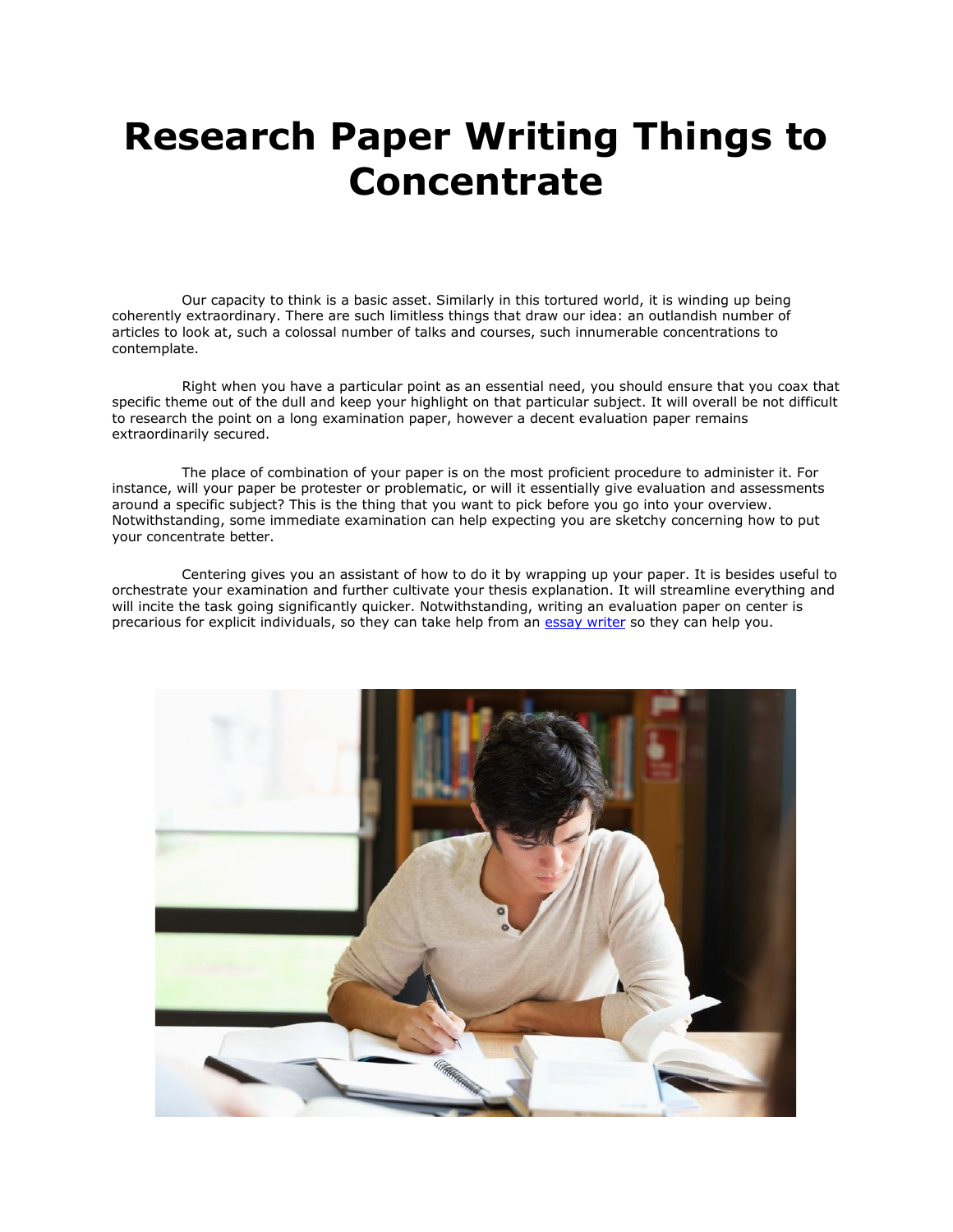## **Research Paper Writing Things to Concentrate**

 Our capacity to think is a basic asset. Similarly in this tortured world, it is winding up being coherently extraordinary. There are such limitless things that draw our idea: an outlandish number of articles to look at, such a colossal number of talks and courses, such innumerable concentrations to contemplate.

 Right when you have a particular point as an essential need, you should ensure that you coax that specific theme out of the dull and keep your highlight on that particular subject. It will overall be not difficult to research the point on a long examination paper, however a decent evaluation paper remains extraordinarily secured.

 The place of combination of your paper is on the most proficient procedure to administer it. For instance, will your paper be protester or problematic, or will it essentially give evaluation and assessments around a specific subject? This is the thing that you want to pick before you go into your overview. Notwithstanding, some immediate examination can help expecting you are sketchy concerning how to put your concentrate better.

 Centering gives you an assistant of how to do it by wrapping up your paper. It is besides useful to orchestrate your examination and further cultivate your thesis explanation. It will streamline everything and will incite the task going significantly quicker. Notwithstanding, writing an evaluation paper on center is precarious for explicit individuals, so they can take help from an [essay writer](https://essayhours.com/) so they can help you.

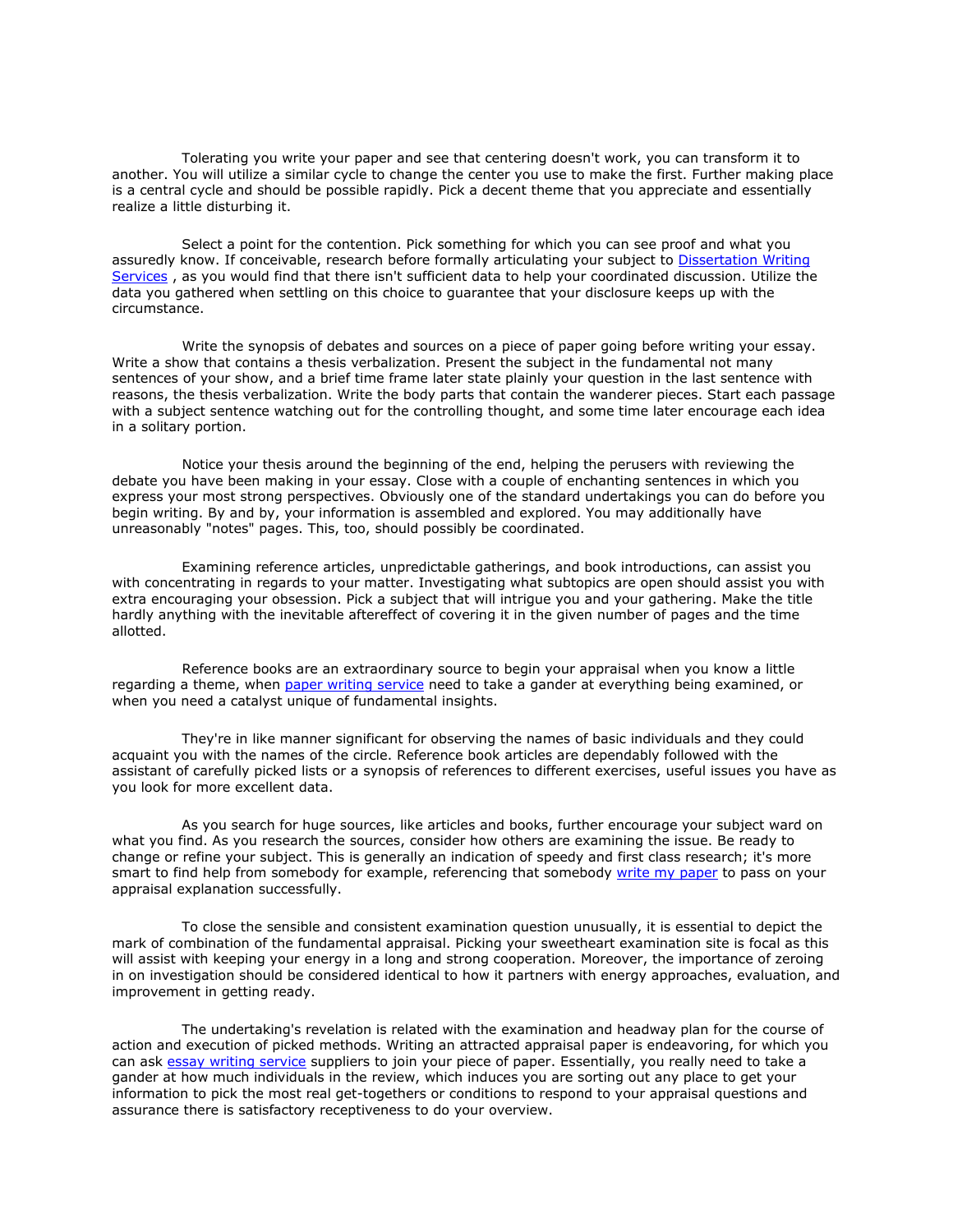Tolerating you write your paper and see that centering doesn't work, you can transform it to another. You will utilize a similar cycle to change the center you use to make the first. Further making place is a central cycle and should be possible rapidly. Pick a decent theme that you appreciate and essentially realize a little disturbing it.

 Select a point for the contention. Pick something for which you can see proof and what you assuredly know. If conceivable, research before formally articulating your subject to [Dissertation Writing](https://www.gradschoolgenius.com/dissertation-writing-services)  [Services](https://www.gradschoolgenius.com/dissertation-writing-services) , as you would find that there isn't sufficient data to help your coordinated discussion. Utilize the data you gathered when settling on this choice to guarantee that your disclosure keeps up with the circumstance.

 Write the synopsis of debates and sources on a piece of paper going before writing your essay. Write a show that contains a thesis verbalization. Present the subject in the fundamental not many sentences of your show, and a brief time frame later state plainly your question in the last sentence with reasons, the thesis verbalization. Write the body parts that contain the wanderer pieces. Start each passage with a subject sentence watching out for the controlling thought, and some time later encourage each idea in a solitary portion.

 Notice your thesis around the beginning of the end, helping the perusers with reviewing the debate you have been making in your essay. Close with a couple of enchanting sentences in which you express your most strong perspectives. Obviously one of the standard undertakings you can do before you begin writing. By and by, your information is assembled and explored. You may additionally have unreasonably "notes" pages. This, too, should possibly be coordinated.

 Examining reference articles, unpredictable gatherings, and book introductions, can assist you with concentrating in regards to your matter. Investigating what subtopics are open should assist you with extra encouraging your obsession. Pick a subject that will intrigue you and your gathering. Make the title hardly anything with the inevitable aftereffect of covering it in the given number of pages and the time allotted.

 Reference books are an extraordinary source to begin your appraisal when you know a little regarding a theme, when [paper writing service](https://www.collegeessay.org/) need to take a gander at everything being examined, or when you need a catalyst unique of fundamental insights.

 They're in like manner significant for observing the names of basic individuals and they could acquaint you with the names of the circle. Reference book articles are dependably followed with the assistant of carefully picked lists or a synopsis of references to different exercises, useful issues you have as you look for more excellent data.

 As you search for huge sources, like articles and books, further encourage your subject ward on what you find. As you research the sources, consider how others are examining the issue. Be ready to change or refine your subject. This is generally an indication of speedy and first class research; it's more smart to find help from somebody for example, referencing that somebody [write my paper](https://essayhours.com/) to pass on your appraisal explanation successfully.

 To close the sensible and consistent examination question unusually, it is essential to depict the mark of combination of the fundamental appraisal. Picking your sweetheart examination site is focal as this will assist with keeping your energy in a long and strong cooperation. Moreover, the importance of zeroing in on investigation should be considered identical to how it partners with energy approaches, evaluation, and improvement in getting ready.

 The undertaking's revelation is related with the examination and headway plan for the course of action and execution of picked methods. Writing an attracted appraisal paper is endeavoring, for which you can ask [essay writing service](https://www.essaywriter.college/) suppliers to join your piece of paper. Essentially, you really need to take a gander at how much individuals in the review, which induces you are sorting out any place to get your information to pick the most real get-togethers or conditions to respond to your appraisal questions and assurance there is satisfactory receptiveness to do your overview.